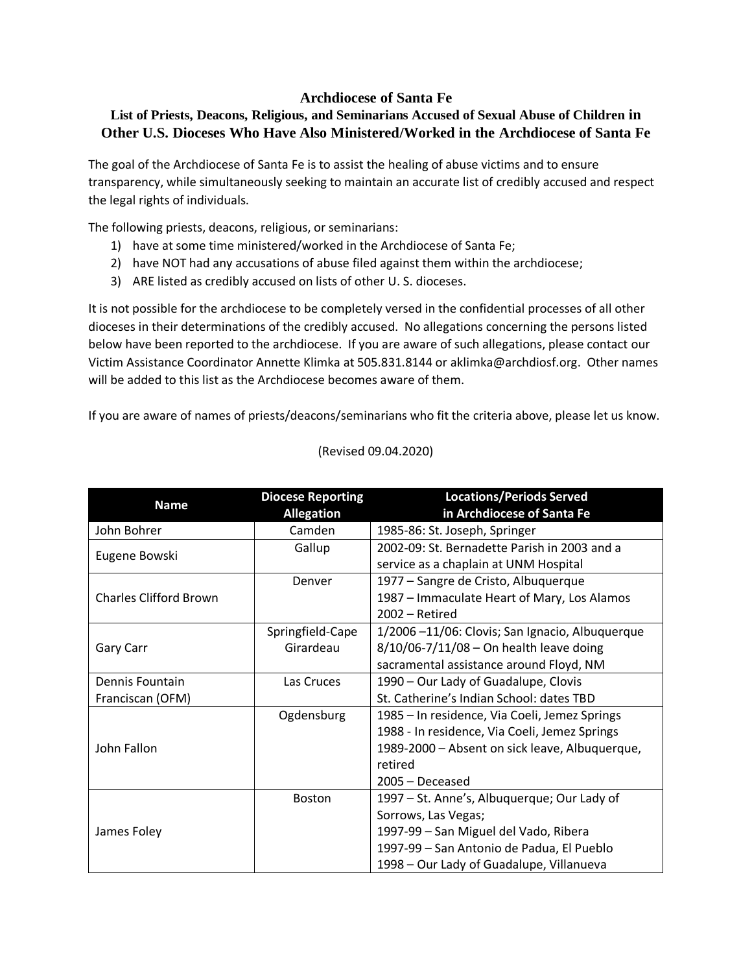## **Archdiocese of Santa Fe**

## **List of Priests, Deacons, Religious, and Seminarians Accused of Sexual Abuse of Children in Other U.S. Dioceses Who Have Also Ministered/Worked in the Archdiocese of Santa Fe**

The goal of the Archdiocese of Santa Fe is to assist the healing of abuse victims and to ensure transparency, while simultaneously seeking to maintain an accurate list of credibly accused and respect the legal rights of individuals.

The following priests, deacons, religious, or seminarians:

- 1) have at some time ministered/worked in the Archdiocese of Santa Fe;
- 2) have NOT had any accusations of abuse filed against them within the archdiocese;
- 3) ARE listed as credibly accused on lists of other U. S. dioceses.

It is not possible for the archdiocese to be completely versed in the confidential processes of all other dioceses in their determinations of the credibly accused. No allegations concerning the persons listed below have been reported to the archdiocese. If you are aware of such allegations, please contact our Victim Assistance Coordinator Annette Klimka at 505.831.8144 or aklimka@archdiosf.org. Other names will be added to this list as the Archdiocese becomes aware of them.

If you are aware of names of priests/deacons/seminarians who fit the criteria above, please let us know.

| <b>Name</b>                   | <b>Diocese Reporting</b> | <b>Locations/Periods Served</b>                |
|-------------------------------|--------------------------|------------------------------------------------|
|                               | <b>Allegation</b>        | in Archdiocese of Santa Fe                     |
| John Bohrer                   | Camden                   | 1985-86: St. Joseph, Springer                  |
| Eugene Bowski                 | Gallup                   | 2002-09: St. Bernadette Parish in 2003 and a   |
|                               |                          | service as a chaplain at UNM Hospital          |
| <b>Charles Clifford Brown</b> | Denver                   | 1977 – Sangre de Cristo, Albuquerque           |
|                               |                          | 1987 - Immaculate Heart of Mary, Los Alamos    |
|                               |                          | $2002 - Retired$                               |
| Gary Carr                     | Springfield-Cape         | 1/2006-11/06: Clovis; San Ignacio, Albuquerque |
|                               | Girardeau                | 8/10/06-7/11/08 - On health leave doing        |
|                               |                          | sacramental assistance around Floyd, NM        |
| Dennis Fountain               | Las Cruces               | 1990 - Our Lady of Guadalupe, Clovis           |
| Franciscan (OFM)              |                          | St. Catherine's Indian School: dates TBD       |
| John Fallon                   | Ogdensburg               | 1985 – In residence, Via Coeli, Jemez Springs  |
|                               |                          | 1988 - In residence, Via Coeli, Jemez Springs  |
|                               |                          | 1989-2000 - Absent on sick leave, Albuquerque, |
|                               |                          | retired                                        |
|                               |                          | 2005 - Deceased                                |
| James Foley                   | <b>Boston</b>            | 1997 – St. Anne's, Albuquerque; Our Lady of    |
|                               |                          | Sorrows, Las Vegas;                            |
|                               |                          | 1997-99 - San Miguel del Vado, Ribera          |
|                               |                          | 1997-99 - San Antonio de Padua, El Pueblo      |
|                               |                          | 1998 – Our Lady of Guadalupe, Villanueva       |

## (Revised 09.04.2020)